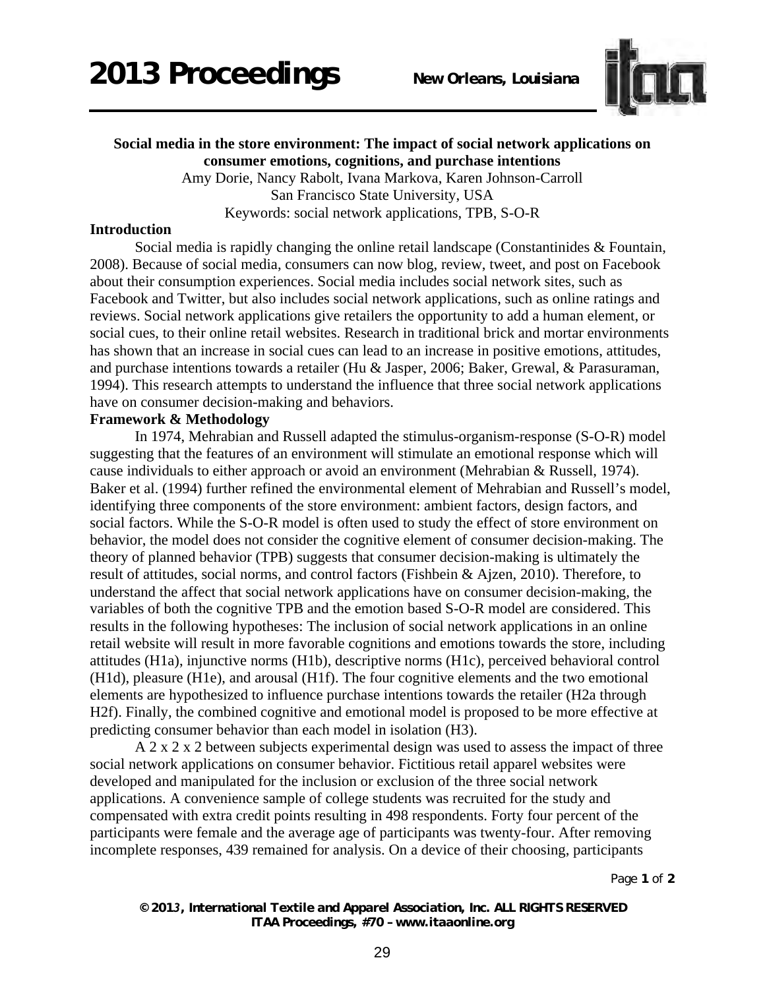

# **Social media in the store environment: The impact of social network applications on consumer emotions, cognitions, and purchase intentions**

Amy Dorie, Nancy Rabolt, Ivana Markova, Karen Johnson-Carroll San Francisco State University, USA Keywords: social network applications, TPB, S-O-R

#### **Introduction**

 Social media is rapidly changing the online retail landscape (Constantinides & Fountain, 2008). Because of social media, consumers can now blog, review, tweet, and post on Facebook about their consumption experiences. Social media includes social network sites, such as Facebook and Twitter, but also includes social network applications, such as online ratings and reviews. Social network applications give retailers the opportunity to add a human element, or social cues, to their online retail websites. Research in traditional brick and mortar environments has shown that an increase in social cues can lead to an increase in positive emotions, attitudes, and purchase intentions towards a retailer (Hu & Jasper, 2006; Baker, Grewal, & Parasuraman, 1994). This research attempts to understand the influence that three social network applications have on consumer decision-making and behaviors.

### **Framework & Methodology**

 In 1974, Mehrabian and Russell adapted the stimulus-organism-response (S-O-R) model suggesting that the features of an environment will stimulate an emotional response which will cause individuals to either approach or avoid an environment (Mehrabian & Russell, 1974). Baker et al. (1994) further refined the environmental element of Mehrabian and Russell's model, identifying three components of the store environment: ambient factors, design factors, and social factors. While the S-O-R model is often used to study the effect of store environment on behavior, the model does not consider the cognitive element of consumer decision-making. The theory of planned behavior (TPB) suggests that consumer decision-making is ultimately the result of attitudes, social norms, and control factors (Fishbein & Ajzen, 2010). Therefore, to understand the affect that social network applications have on consumer decision-making, the variables of both the cognitive TPB and the emotion based S-O-R model are considered. This results in the following hypotheses: The inclusion of social network applications in an online retail website will result in more favorable cognitions and emotions towards the store, including attitudes (H1a), injunctive norms (H1b), descriptive norms (H1c), perceived behavioral control (H1d), pleasure (H1e), and arousal (H1f). The four cognitive elements and the two emotional elements are hypothesized to influence purchase intentions towards the retailer (H2a through H2f). Finally, the combined cognitive and emotional model is proposed to be more effective at predicting consumer behavior than each model in isolation (H3).

A 2 x 2 x 2 between subjects experimental design was used to assess the impact of three social network applications on consumer behavior. Fictitious retail apparel websites were developed and manipulated for the inclusion or exclusion of the three social network applications. A convenience sample of college students was recruited for the study and compensated with extra credit points resulting in 498 respondents. Forty four percent of the participants were female and the average age of participants was twenty-four. After removing incomplete responses, 439 remained for analysis. On a device of their choosing, participants

Page **1** of **2** 

*© 2013, International Textile and Apparel Association, Inc. ALL RIGHTS RESERVED ITAA Proceedings, #70 – www.itaaonline.org*